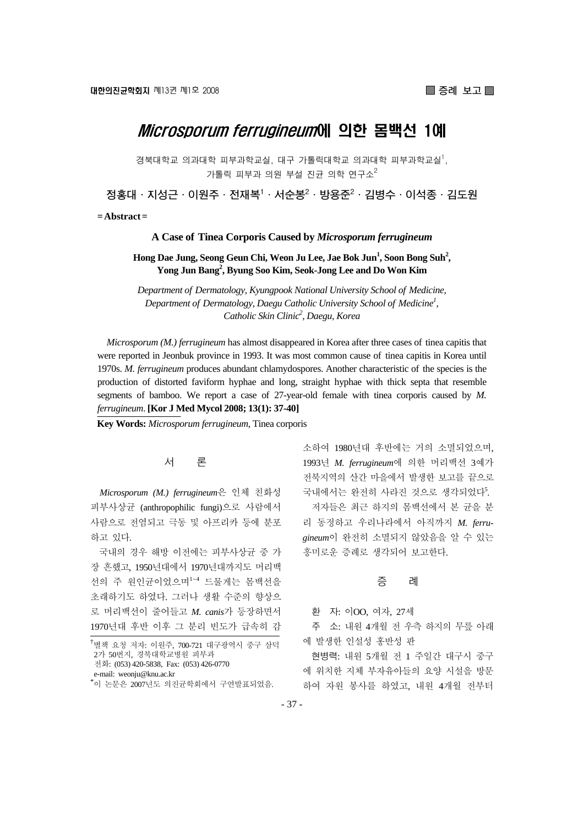# *Microsporum ferrugineum*에 의한 몸백선 1예

경북대학교 의과대학 피부과학교실, 대구 가톨릭대학교 의과대학 피부과학교실<sup>1</sup>, 가톨릭 피부과 의원 부설 진균 의학 연구소 $^2$ 

정홍대 · 지성근 · 이원주 · 전재복<sup>1</sup> · 서순봉<sup>2</sup> · 방용준<sup>2</sup> · 김병수 · 이석종 · 김도원

**= Abstract =** 

**A Case of Tinea Corporis Caused by** *Microsporum ferrugineum*

Hong Dae Jung, Seong Geun Chi, Weon Ju Lee, Jae Bok Jun<sup>1</sup>, Soon Bong Suh<sup>2</sup>, **Yong Jun Bang2 , Byung Soo Kim, Seok-Jong Lee and Do Won Kim** 

*Department of Dermatology, Kyungpook National University School of Medicine, Department of Dermatology, Daegu Catholic University School of Medicine1 , Catholic Skin Clinic2 , Daegu, Korea* 

*Microsporum (M.) ferrugineum* has almost disappeared in Korea after three cases of tinea capitis that were reported in Jeonbuk province in 1993. It was most common cause of tinea capitis in Korea until 1970s. *M. ferrugineum* produces abundant chlamydospores. Another characteristic of the species is the production of distorted faviform hyphae and long, straight hyphae with thick septa that resemble segments of bamboo. We report a case of 27-year-old female with tinea corporis caused by *M. ferrugineum*. **[Kor J Med Mycol 2008; 13(1): 37-40]**

**Key Words:** *Microsporum ferrugineum*, Tinea corporis

### 서 론

*Microsporum (M.) ferrugineum*은 인체 친화성 피부사상균 (anthropophilic fungi)으로 사람에서 사람으로 전염되고 극동 및 아프리카 등에 분포 하고 있다.

국내의 경우 해방 이전에는 피부사상균 중 가 장 흔했고, 1950년대에서 1970년대까지도 머리백 선의 주 원인균이었으며<sup>1</sup>~<sup>4</sup> 드물게는 몸백선을 초래하기도 하였다. 그러나 생활 수준의 향상으 로 머리백선이 줄어들고 *M. canis*가 등장하면서 1970년대 후반 이후 그 분리 빈도가 급속히 감

소하여 1980년대 후반에는 거의 소멸되었으며, 1993년 *M. ferrugineum*에 의한 머리백선 3예가 전북지역의 산간 마을에서 발생한 보고를 끝으로 국내에서는 완전히 사라진 것으로 생각되었다5. 저자들은 최근 하지의 몸백선에서 본 균을 분 리 동정하고 우리나라에서 아직까지 *M. ferrugineum*이 완전히 소멸되지 않았음을 알 수 있는 흥미로운 증례로 생각되어 보고한다.

#### 증 례

환 자: 이OO, 여자, 27세

주 소: 내원 4개월 전 우측 하지의 무릎 아래 에 발생한 인설성 홍반성 판

현병력: 내원 5개월 전 1 주일간 대구시 중구 에 위치한 지체 부자유아들의 요양 시설을 방문 하여 자원 봉사를 하였고, 내원 4개월 전부터

<sup>.&</sup>lt;br><sup>†</sup>별책 요청 저자: 이원주, 700-721 대구광역시 중구 삼덕 2가 50번지, 경북대학교병원 피부과 전화: (053) 420-5838, Fax: (053) 426-0770 e-mail: weonju@knu.ac.kr \* 이 논문은 2007년도 의진균학회에서 구연발표되었음.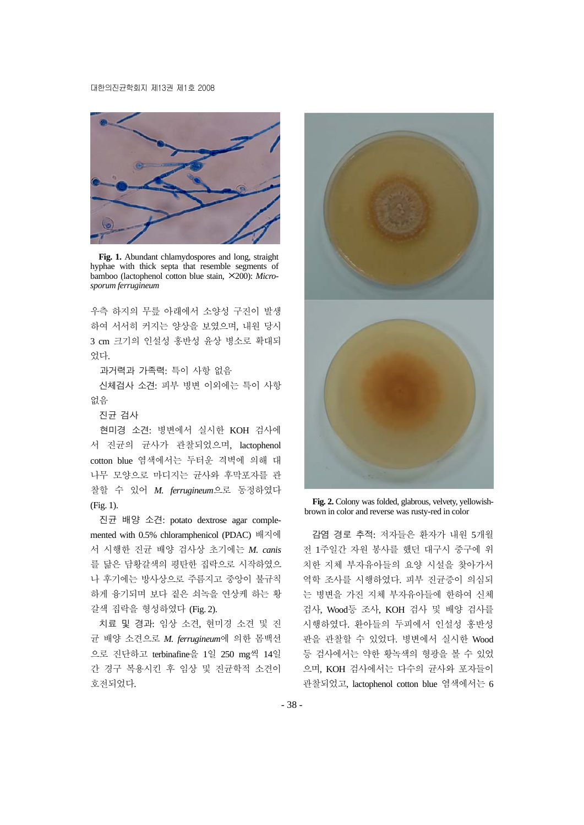

**Fig. 1.** Abundant chlamydospores and long, straight hyphae with thick septa that resemble segments of bamboo (lactophenol cotton blue stain, ×200): *Microsporum ferrugineum*

우측 하지의 무릎 아래에서 소양성 구진이 발생 하여 서서히 커지는 양상을 보였으며, 내원 당시 3 cm 크기의 인설성 홍반성 윤상 병소로 확대되 었다.

과거력과 가족력: 특이 사항 없음

신체검사 소견: 피부 병변 이외에는 특이 사항 없음

진균 검사

현미경 소견: 병변에서 실시한 KOH 검사에 서 진균의 균사가 관찰되었으며, lactophenol cotton blue 염색에서는 두터운 격벽에 의해 대 나무 모양으로 마디지는 균사와 후막포자를 관 찰할 수 있어 *M. ferrugineum*으로 동정하였다 (Fig. 1).

진균 배양 소견: potato dextrose agar complemented with 0.5% chloramphenicol (PDAC) 배지에 서 시행한 진균 배양 검사상 초기에는 *M. canis* 를 닮은 담황갈색의 평탄한 집락으로 시작하였으 나 후기에는 방사상으로 주름지고 중앙이 불규칙 하게 융기되며 보다 짙은 쇠녹을 연상케 하는 황 갈색 집락을 형성하였다 (Fig. 2).

치료 및 경과: 임상 소견, 현미경 소견 및 진 균 배양 소견으로 *M. ferrugineum*에 의한 몸백선 으로 진단하고 terbinafine을 1일 250 mg씩 14일 간 경구 복용시킨 후 임상 및 진균학적 소견이 호전되었다.



**Fig. 2.** Colony was folded, glabrous, velvety, yellowishbrown in color and reverse was rusty-red in color

감염 경로 추적: 저자들은 환자가 내원 5개월 전 1주일간 자원 봉사를 했던 대구시 중구에 위 치한 지체 부자유아들의 요양 시설을 찾아가서 역학 조사를 시행하였다. 피부 진균증이 의심되 는 병변을 가진 지체 부자유아들에 한하여 신체 검사, Wood등 조사, KOH 검사 및 배양 검사를 시행하였다. 환아들의 두피에서 인설성 홍반성 판을 관찰할 수 있었다. 병변에서 실시한 Wood 등 검사에서는 약한 황녹색의 형광을 볼 수 있었 으며, KOH 검사에서는 다수의 균사와 포자들이 관찰되었고, lactophenol cotton blue 염색에서는 6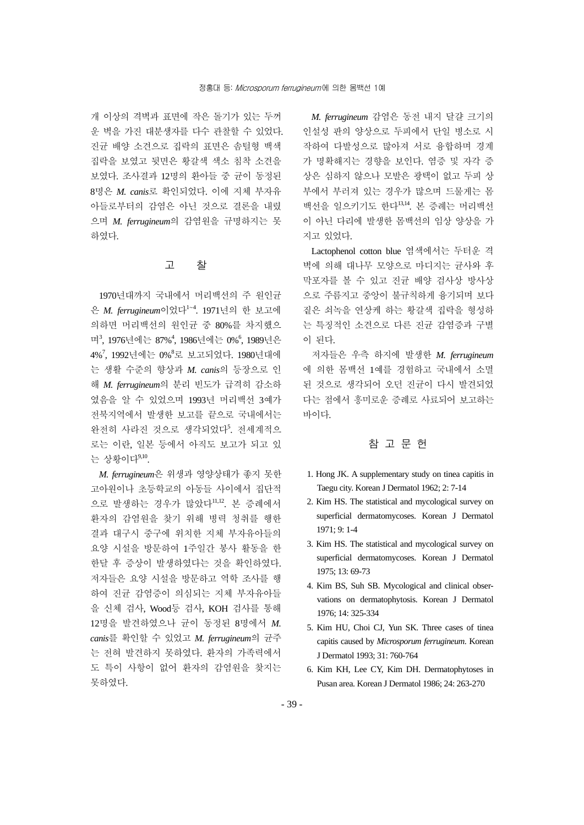개 이상의 격벽과 표면에 작은 돌기가 있는 두꺼 운 벽을 가진 대분생자를 다수 관찰할 수 있었다. 진균 배양 소견으로 집락의 표면은 솜털형 백색 집락을 보였고 뒷면은 황갈색 색소 침착 소견을 보였다. 조사결과 12명의 환아들 중 균이 동정된 8명은 *M. canis*로 확인되었다. 이에 지체 부자유 아들로부터의 감염은 아닌 것으로 결론을 내렸 으며 *M. ferrugineum*의 감염원을 규명하지는 못 하였다.

### 고 찰

1970년대까지 국내에서 머리백선의 주 원인균 은 *M. ferrugineum*이었다<sup>1</sup>~<sup>4</sup> . 1971년의 한 보고에 의하면 머리백선의 원인균 중 80%를 차지했으 며<sup>3</sup>, 1976년에는 87%<sup>4</sup>, 1986년에는 0%<sup>6</sup>, 1989년은 4%<sup>7</sup>, 1992년에는 0%<sup>8</sup>로 보고되었다. 1980년대에 는 생활 수준의 향상과 *M. canis*의 등장으로 인 해 *M. ferrugineum*의 분리 빈도가 급격히 감소하 였음을 알 수 있었으며 1993년 머리백선 3예가 전북지역에서 발생한 보고를 끝으로 국내에서는 완전히 사라진 것으로 생각되었다<sup>5</sup>. 전세계적으 로는 이란, 일본 등에서 아직도 보고가 되고 있 는 상황이다<sup>9,10</sup>.

*M. ferrugineum*은 위생과 영양상태가 좋지 못한 고아원이나 초등학교의 아동들 사이에서 집단적 으로 발생하는 경우가 많았다<sup>11,12</sup>. 본 증례에서 환자의 감염원을 찾기 위해 병력 청취를 행한 결과 대구시 중구에 위치한 지체 부자유아들의 요양 시설을 방문하여 1주일간 봉사 활동을 한 한달 후 증상이 발생하였다는 것을 확인하였다. 저자들은 요양 시설을 방문하고 역학 조사를 행 하여 진균 감염증이 의심되는 지체 부자유아들 을 신체 검사, Wood등 검사, KOH 검사를 통해 12명을 발견하였으나 균이 동정된 8명에서 *M. canis*를 확인할 수 있었고 *M. ferrugineum*의 균주 는 전혀 발견하지 못하였다. 환자의 가족력에서 도 특이 사항이 없어 환자의 감염원을 찾지는 못하였다.

*M. ferrugineum* 감염은 동전 내지 달걀 크기의 인설성 판의 양상으로 두피에서 단일 병소로 시 작하여 다발성으로 많아져 서로 융합하며 경계 가 명확해지는 경향을 보인다. 염증 및 자각 증 상은 심하지 않으나 모발은 광택이 없고 두피 상 부에서 부러져 있는 경우가 많으며 드물게는 몸 백선을 일으키기도 한다13,14. 본 증례는 머리백선 이 아닌 다리에 발생한 몸백선의 임상 양상을 가 지고 있었다.

Lactophenol cotton blue 염색에서는 두터운 격 벽에 의해 대나무 모양으로 마디지는 균사와 후 막포자를 볼 수 있고 진균 배양 검사상 방사상 으로 주름지고 중앙이 불규칙하게 융기되며 보다 짙은 쇠녹을 연상케 하는 황갈색 집락을 형성하 는 특징적인 소견으로 다른 진균 감염증과 구별 이 된다.

저자들은 우측 하지에 발생한 *M. ferrugineum* 에 의한 몸백선 1예를 경험하고 국내에서 소멸 된 것으로 생각되어 오던 진균이 다시 발견되었 다는 점에서 흥미로운 증례로 사료되어 보고하는 바이다.

## 참 고 문 헌

- 1. Hong JK. A supplementary study on tinea capitis in Taegu city. Korean J Dermatol 1962; 2: 7-14
- 2. Kim HS. The statistical and mycological survey on superficial dermatomycoses. Korean J Dermatol 1971; 9: 1-4
- 3. Kim HS. The statistical and mycological survey on superficial dermatomycoses. Korean J Dermatol 1975; 13: 69-73
- 4. Kim BS, Suh SB. Mycological and clinical observations on dermatophytosis. Korean J Dermatol 1976; 14: 325-334
- 5. Kim HU, Choi CJ, Yun SK. Three cases of tinea capitis caused by *Microsporum ferrugineum*. Korean J Dermatol 1993; 31: 760-764
- 6. Kim KH, Lee CY, Kim DH. Dermatophytoses in Pusan area. Korean J Dermatol 1986; 24: 263-270